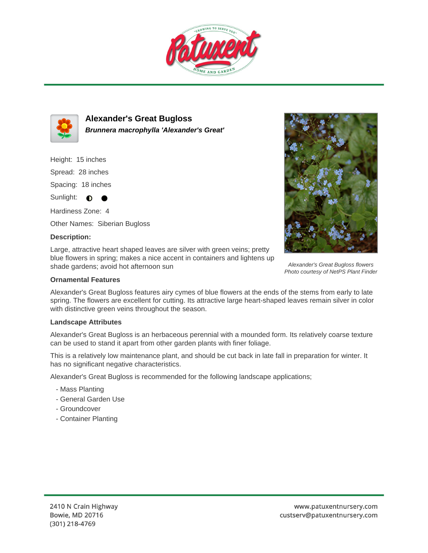



**Alexander's Great Bugloss Brunnera macrophylla 'Alexander's Great'**

Height: 15 inches Spread: 28 inches Spacing: 18 inches

Sunlight:  $\bullet$  $\bullet$ 

Hardiness Zone: 4 Other Names: Siberian Bugloss

## **Description:**

Large, attractive heart shaped leaves are silver with green veins; pretty blue flowers in spring; makes a nice accent in containers and lightens up shade gardens; avoid hot afternoon sun

## **Ornamental Features**

Alexander's Great Bugloss features airy cymes of blue flowers at the ends of the stems from early to late spring. The flowers are excellent for cutting. Its attractive large heart-shaped leaves remain silver in color with distinctive green veins throughout the season.

## **Landscape Attributes**

Alexander's Great Bugloss is an herbaceous perennial with a mounded form. Its relatively coarse texture can be used to stand it apart from other garden plants with finer foliage.

This is a relatively low maintenance plant, and should be cut back in late fall in preparation for winter. It has no significant negative characteristics.

Alexander's Great Bugloss is recommended for the following landscape applications;

- Mass Planting
- General Garden Use
- Groundcover
- Container Planting



Alexander's Great Bugloss flowers Photo courtesy of NetPS Plant Finder